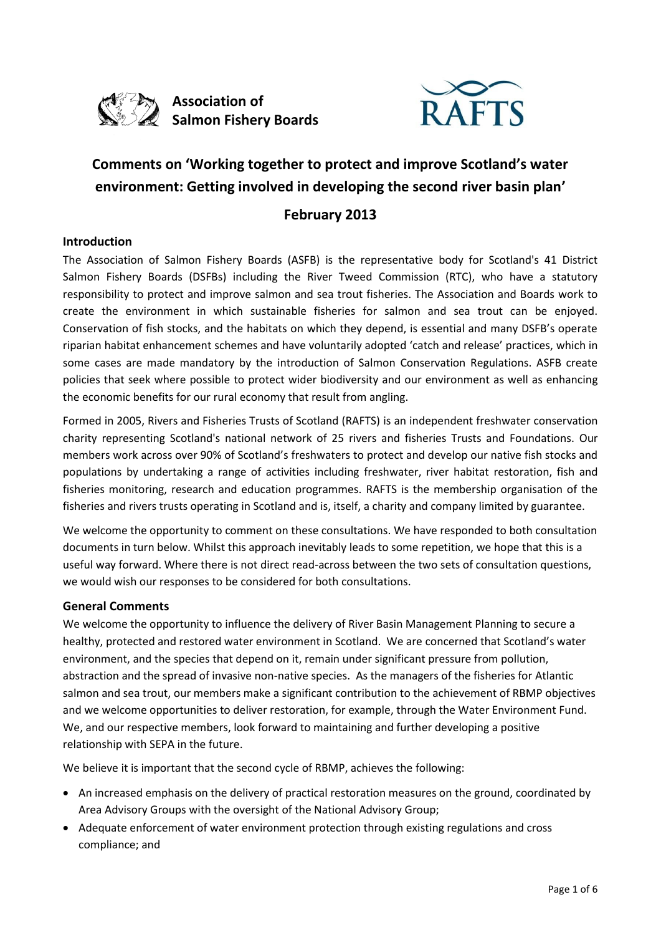



# **Comments on 'Working together to protect and improve Scotland's water environment: Getting involved in developing the second river basin plan'**

# **February 2013**

#### **Introduction**

The Association of Salmon Fishery Boards (ASFB) is the representative body for Scotland's 41 District Salmon Fishery Boards (DSFBs) including the River Tweed Commission (RTC), who have a statutory responsibility to protect and improve salmon and sea trout fisheries. The Association and Boards work to create the environment in which sustainable fisheries for salmon and sea trout can be enjoyed. Conservation of fish stocks, and the habitats on which they depend, is essential and many DSFB's operate riparian habitat enhancement schemes and have voluntarily adopted 'catch and release' practices, which in some cases are made mandatory by the introduction of Salmon Conservation Regulations. ASFB create policies that seek where possible to protect wider biodiversity and our environment as well as enhancing the economic benefits for our rural economy that result from angling.

Formed in 2005, Rivers and Fisheries Trusts of Scotland (RAFTS) is an independent freshwater conservation charity representing Scotland's national network of 25 rivers and fisheries Trusts and Foundations. Our members work across over 90% of Scotland's freshwaters to protect and develop our native fish stocks and populations by undertaking a range of activities including freshwater, river habitat restoration, fish and fisheries monitoring, research and education programmes. RAFTS is the membership organisation of the fisheries and rivers trusts operating in Scotland and is, itself, a charity and company limited by guarantee.

We welcome the opportunity to comment on these consultations. We have responded to both consultation documents in turn below. Whilst this approach inevitably leads to some repetition, we hope that this is a useful way forward. Where there is not direct read-across between the two sets of consultation questions, we would wish our responses to be considered for both consultations.

#### **General Comments**

We welcome the opportunity to influence the delivery of River Basin Management Planning to secure a healthy, protected and restored water environment in Scotland. We are concerned that Scotland's water environment, and the species that depend on it, remain under significant pressure from pollution, abstraction and the spread of invasive non-native species. As the managers of the fisheries for Atlantic salmon and sea trout, our members make a significant contribution to the achievement of RBMP objectives and we welcome opportunities to deliver restoration, for example, through the Water Environment Fund. We, and our respective members, look forward to maintaining and further developing a positive relationship with SEPA in the future.

We believe it is important that the second cycle of RBMP, achieves the following:

- An increased emphasis on the delivery of practical restoration measures on the ground, coordinated by Area Advisory Groups with the oversight of the National Advisory Group;
- Adequate enforcement of water environment protection through existing regulations and cross compliance; and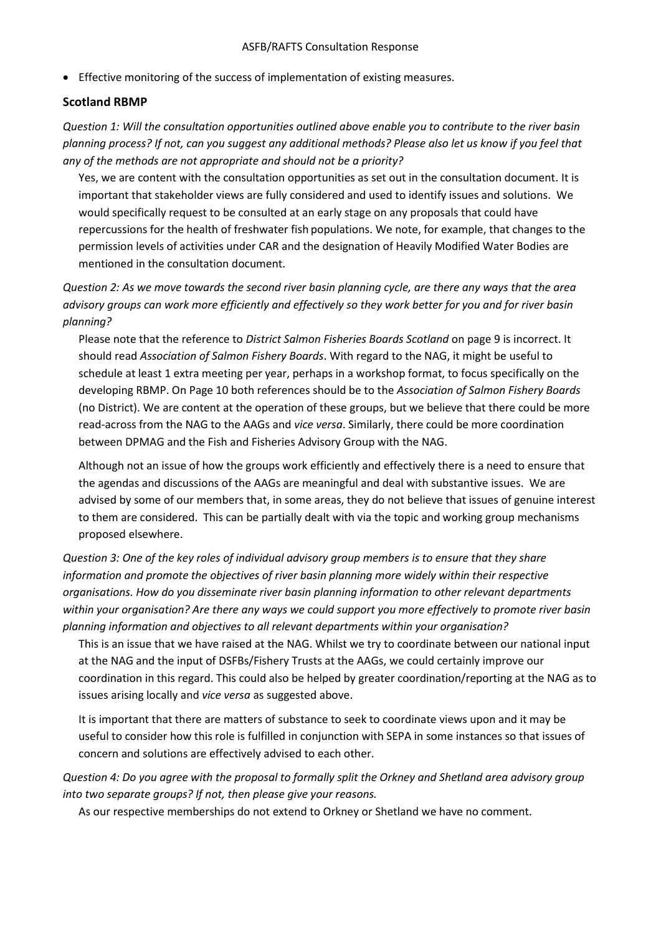Effective monitoring of the success of implementation of existing measures.

#### **Scotland RBMP**

*Question 1: Will the consultation opportunities outlined above enable you to contribute to the river basin planning process? If not, can you suggest any additional methods? Please also let us know if you feel that any of the methods are not appropriate and should not be a priority?*

Yes, we are content with the consultation opportunities as set out in the consultation document. It is important that stakeholder views are fully considered and used to identify issues and solutions. We would specifically request to be consulted at an early stage on any proposals that could have repercussions for the health of freshwater fish populations. We note, for example, that changes to the permission levels of activities under CAR and the designation of Heavily Modified Water Bodies are mentioned in the consultation document.

*Question 2: As we move towards the second river basin planning cycle, are there any ways that the area advisory groups can work more efficiently and effectively so they work better for you and for river basin planning?*

Please note that the reference to *District Salmon Fisheries Boards Scotland* on page 9 is incorrect. It should read *Association of Salmon Fishery Boards*. With regard to the NAG, it might be useful to schedule at least 1 extra meeting per year, perhaps in a workshop format, to focus specifically on the developing RBMP. On Page 10 both references should be to the *Association of Salmon Fishery Boards* (no District). We are content at the operation of these groups, but we believe that there could be more read-across from the NAG to the AAGs and *vice versa*. Similarly, there could be more coordination between DPMAG and the Fish and Fisheries Advisory Group with the NAG.

Although not an issue of how the groups work efficiently and effectively there is a need to ensure that the agendas and discussions of the AAGs are meaningful and deal with substantive issues. We are advised by some of our members that, in some areas, they do not believe that issues of genuine interest to them are considered. This can be partially dealt with via the topic and working group mechanisms proposed elsewhere.

*Question 3: One of the key roles of individual advisory group members is to ensure that they share information and promote the objectives of river basin planning more widely within their respective organisations. How do you disseminate river basin planning information to other relevant departments within your organisation? Are there any ways we could support you more effectively to promote river basin planning information and objectives to all relevant departments within your organisation?*

This is an issue that we have raised at the NAG. Whilst we try to coordinate between our national input at the NAG and the input of DSFBs/Fishery Trusts at the AAGs, we could certainly improve our coordination in this regard. This could also be helped by greater coordination/reporting at the NAG as to issues arising locally and *vice versa* as suggested above.

It is important that there are matters of substance to seek to coordinate views upon and it may be useful to consider how this role is fulfilled in conjunction with SEPA in some instances so that issues of concern and solutions are effectively advised to each other.

*Question 4: Do you agree with the proposal to formally split the Orkney and Shetland area advisory group into two separate groups? If not, then please give your reasons.*

As our respective memberships do not extend to Orkney or Shetland we have no comment.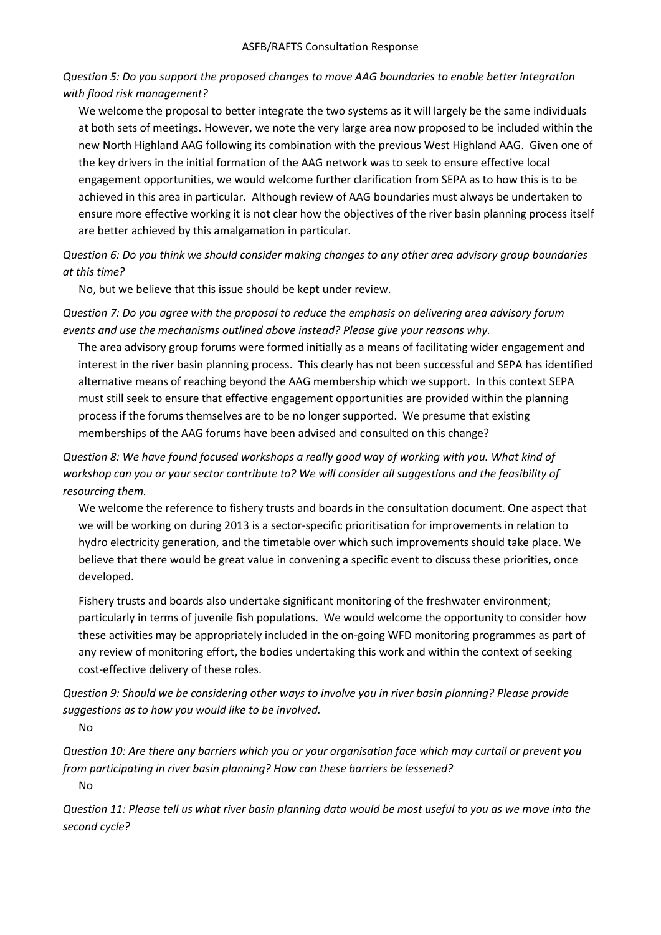*Question 5: Do you support the proposed changes to move AAG boundaries to enable better integration with flood risk management?*

We welcome the proposal to better integrate the two systems as it will largely be the same individuals at both sets of meetings. However, we note the very large area now proposed to be included within the new North Highland AAG following its combination with the previous West Highland AAG. Given one of the key drivers in the initial formation of the AAG network was to seek to ensure effective local engagement opportunities, we would welcome further clarification from SEPA as to how this is to be achieved in this area in particular. Although review of AAG boundaries must always be undertaken to ensure more effective working it is not clear how the objectives of the river basin planning process itself are better achieved by this amalgamation in particular.

*Question 6: Do you think we should consider making changes to any other area advisory group boundaries at this time?*

No, but we believe that this issue should be kept under review.

*Question 7: Do you agree with the proposal to reduce the emphasis on delivering area advisory forum events and use the mechanisms outlined above instead? Please give your reasons why.*

The area advisory group forums were formed initially as a means of facilitating wider engagement and interest in the river basin planning process. This clearly has not been successful and SEPA has identified alternative means of reaching beyond the AAG membership which we support. In this context SEPA must still seek to ensure that effective engagement opportunities are provided within the planning process if the forums themselves are to be no longer supported. We presume that existing memberships of the AAG forums have been advised and consulted on this change?

*Question 8: We have found focused workshops a really good way of working with you. What kind of workshop can you or your sector contribute to? We will consider all suggestions and the feasibility of resourcing them.*

We welcome the reference to fishery trusts and boards in the consultation document. One aspect that we will be working on during 2013 is a sector-specific prioritisation for improvements in relation to hydro electricity generation, and the timetable over which such improvements should take place. We believe that there would be great value in convening a specific event to discuss these priorities, once developed.

Fishery trusts and boards also undertake significant monitoring of the freshwater environment; particularly in terms of juvenile fish populations. We would welcome the opportunity to consider how these activities may be appropriately included in the on-going WFD monitoring programmes as part of any review of monitoring effort, the bodies undertaking this work and within the context of seeking cost-effective delivery of these roles.

*Question 9: Should we be considering other ways to involve you in river basin planning? Please provide suggestions as to how you would like to be involved.*

No

*Question 10: Are there any barriers which you or your organisation face which may curtail or prevent you from participating in river basin planning? How can these barriers be lessened?* No

*Question 11: Please tell us what river basin planning data would be most useful to you as we move into the second cycle?*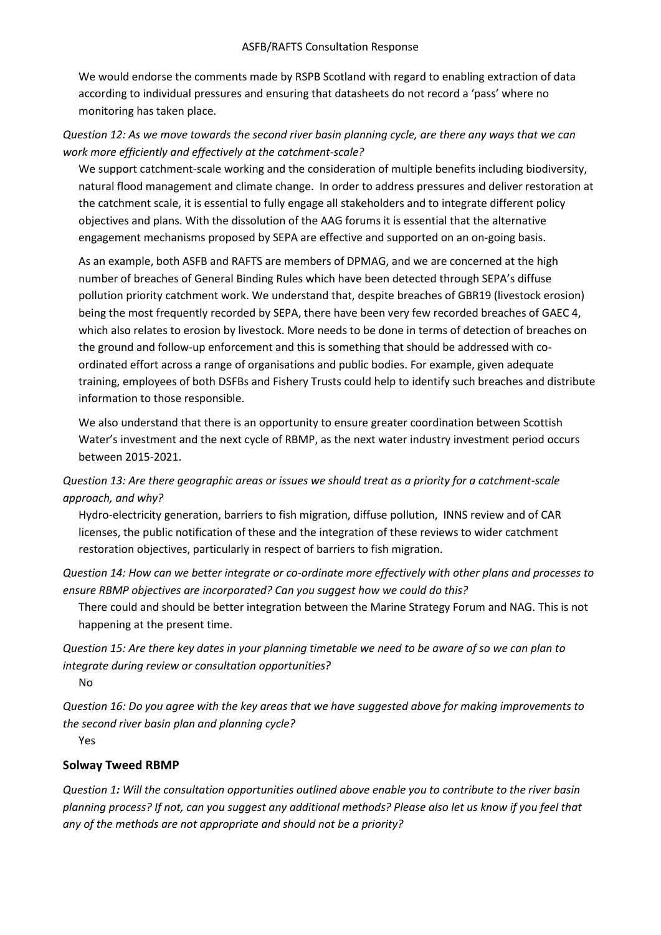We would endorse the comments made by RSPB Scotland with regard to enabling extraction of data according to individual pressures and ensuring that datasheets do not record a 'pass' where no monitoring has taken place.

*Question 12: As we move towards the second river basin planning cycle, are there any ways that we can work more efficiently and effectively at the catchment-scale?*

We support catchment-scale working and the consideration of multiple benefits including biodiversity, natural flood management and climate change. In order to address pressures and deliver restoration at the catchment scale, it is essential to fully engage all stakeholders and to integrate different policy objectives and plans. With the dissolution of the AAG forums it is essential that the alternative engagement mechanisms proposed by SEPA are effective and supported on an on-going basis.

As an example, both ASFB and RAFTS are members of DPMAG, and we are concerned at the high number of breaches of General Binding Rules which have been detected through SEPA's diffuse pollution priority catchment work. We understand that, despite breaches of GBR19 (livestock erosion) being the most frequently recorded by SEPA, there have been very few recorded breaches of GAEC 4, which also relates to erosion by livestock. More needs to be done in terms of detection of breaches on the ground and follow-up enforcement and this is something that should be addressed with coordinated effort across a range of organisations and public bodies. For example, given adequate training, employees of both DSFBs and Fishery Trusts could help to identify such breaches and distribute information to those responsible.

We also understand that there is an opportunity to ensure greater coordination between Scottish Water's investment and the next cycle of RBMP, as the next water industry investment period occurs between 2015-2021.

*Question 13: Are there geographic areas or issues we should treat as a priority for a catchment-scale approach, and why?*

Hydro-electricity generation, barriers to fish migration, diffuse pollution, INNS review and of CAR licenses, the public notification of these and the integration of these reviews to wider catchment restoration objectives, particularly in respect of barriers to fish migration.

*Question 14: How can we better integrate or co-ordinate more effectively with other plans and processes to ensure RBMP objectives are incorporated? Can you suggest how we could do this?*

There could and should be better integration between the Marine Strategy Forum and NAG. This is not happening at the present time.

*Question 15: Are there key dates in your planning timetable we need to be aware of so we can plan to integrate during review or consultation opportunities?*

No

*Question 16: Do you agree with the key areas that we have suggested above for making improvements to the second river basin plan and planning cycle?*

Yes

### **Solway Tweed RBMP**

*Question 1: Will the consultation opportunities outlined above enable you to contribute to the river basin planning process? If not, can you suggest any additional methods? Please also let us know if you feel that any of the methods are not appropriate and should not be a priority?*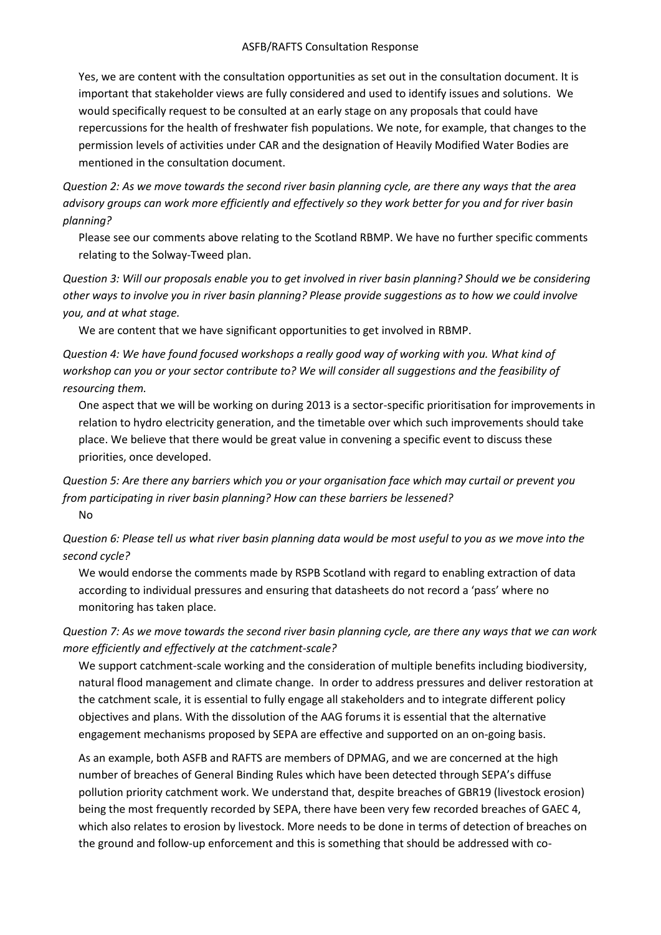#### ASFB/RAFTS Consultation Response

Yes, we are content with the consultation opportunities as set out in the consultation document. It is important that stakeholder views are fully considered and used to identify issues and solutions. We would specifically request to be consulted at an early stage on any proposals that could have repercussions for the health of freshwater fish populations. We note, for example, that changes to the permission levels of activities under CAR and the designation of Heavily Modified Water Bodies are mentioned in the consultation document.

*Question 2: As we move towards the second river basin planning cycle, are there any ways that the area advisory groups can work more efficiently and effectively so they work better for you and for river basin planning?*

Please see our comments above relating to the Scotland RBMP. We have no further specific comments relating to the Solway-Tweed plan.

*Question 3: Will our proposals enable you to get involved in river basin planning? Should we be considering other ways to involve you in river basin planning? Please provide suggestions as to how we could involve you, and at what stage.*

We are content that we have significant opportunities to get involved in RBMP.

*Question 4: We have found focused workshops a really good way of working with you. What kind of workshop can you or your sector contribute to? We will consider all suggestions and the feasibility of resourcing them.*

One aspect that we will be working on during 2013 is a sector-specific prioritisation for improvements in relation to hydro electricity generation, and the timetable over which such improvements should take place. We believe that there would be great value in convening a specific event to discuss these priorities, once developed.

# *Question 5: Are there any barriers which you or your organisation face which may curtail or prevent you from participating in river basin planning? How can these barriers be lessened?* No

*Question 6: Please tell us what river basin planning data would be most useful to you as we move into the second cycle?*

We would endorse the comments made by RSPB Scotland with regard to enabling extraction of data according to individual pressures and ensuring that datasheets do not record a 'pass' where no monitoring has taken place.

*Question 7: As we move towards the second river basin planning cycle, are there any ways that we can work more efficiently and effectively at the catchment-scale?*

We support catchment-scale working and the consideration of multiple benefits including biodiversity, natural flood management and climate change. In order to address pressures and deliver restoration at the catchment scale, it is essential to fully engage all stakeholders and to integrate different policy objectives and plans. With the dissolution of the AAG forums it is essential that the alternative engagement mechanisms proposed by SEPA are effective and supported on an on-going basis.

As an example, both ASFB and RAFTS are members of DPMAG, and we are concerned at the high number of breaches of General Binding Rules which have been detected through SEPA's diffuse pollution priority catchment work. We understand that, despite breaches of GBR19 (livestock erosion) being the most frequently recorded by SEPA, there have been very few recorded breaches of GAEC 4, which also relates to erosion by livestock. More needs to be done in terms of detection of breaches on the ground and follow-up enforcement and this is something that should be addressed with co-